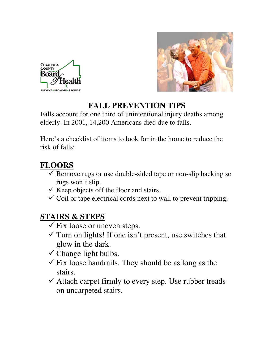



## **FALL PREVENTION TIPS**

Falls account for one third of unintentional injury deaths among elderly. In 2001, 14,200 Americans died due to falls.

Here's a checklist of items to look for in the home to reduce the risk of falls:

# **FLOORS**

- $\checkmark$  Remove rugs or use double-sided tape or non-slip backing so rugs won't slip.
- $\checkmark$  Keep objects off the floor and stairs.
- $\checkmark$  Coil or tape electrical cords next to wall to prevent tripping.

## **STAIRS & STEPS**

- $\checkmark$  Fix loose or uneven steps.
- $\checkmark$  Turn on lights! If one isn't present, use switches that glow in the dark.
- $\checkmark$  Change light bulbs.
- $\checkmark$  Fix loose handrails. They should be as long as the stairs.
- $\checkmark$  Attach carpet firmly to every step. Use rubber treads on uncarpeted stairs.